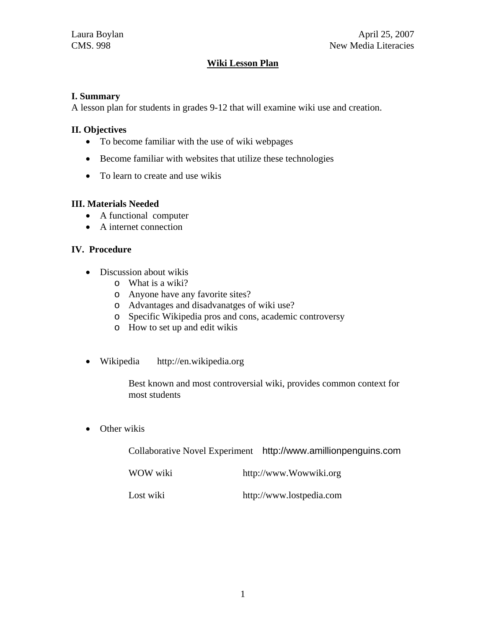# **Wiki Lesson Plan**

### **I. Summary**

A lesson plan for students in grades 9-12 that will examine wiki use and creation.

## **II. Objectives**

- To become familiar with the use of wiki webpages
- Become familiar with websites that utilize these technologies
- To learn to create and use wikis

### **III. Materials Needed**

- A functional computer
- A internet connection

### **IV. Procedure**

- Discussion about wikis
	- o What is a wiki?
	- o Anyone have any favorite sites?
	- o Advantages and disadvanatges of wiki use?
	- o Specific Wikipedia pros and cons, academic controversy
	- o How to set up and edit wikis
- Wikipedia http://en.wikipedia.org

Best known and most controversial wiki, provides common context for most students

• Other wikis

|           | Collaborative Novel Experiment http://www.amillionpenguins.com |
|-----------|----------------------------------------------------------------|
| WOW wiki  | http://www.Wowwiki.org                                         |
| Lost wiki | http://www.lostpedia.com                                       |